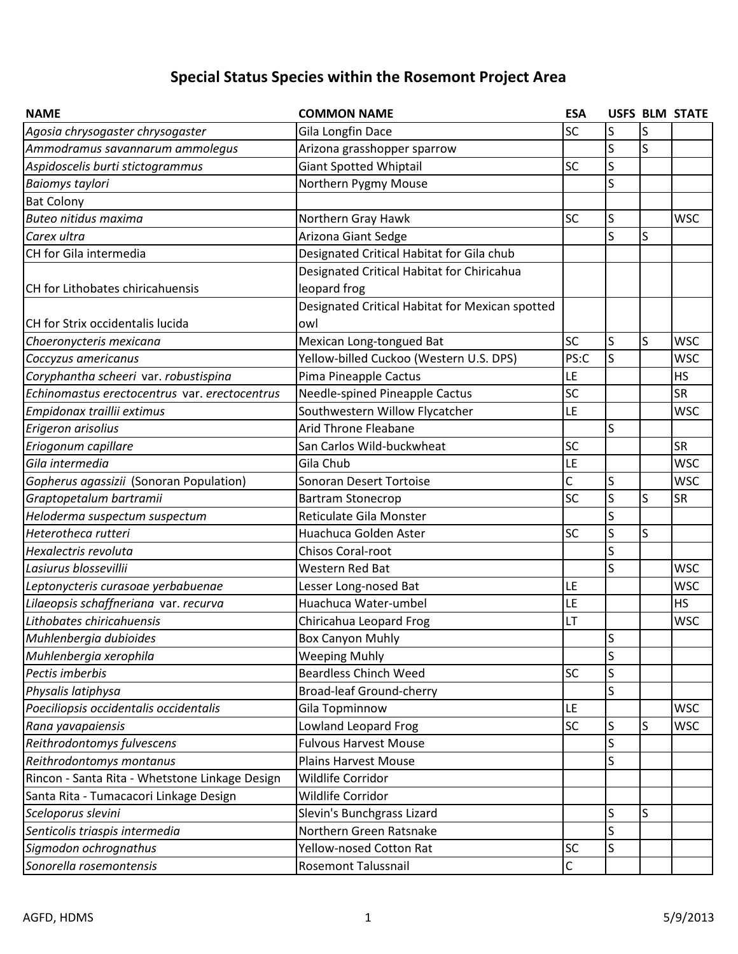# **Special Status Species within the Rosemont Project Area**

| <b>COMMON NAME</b><br><b>NAME</b>              |                                                 | <b>ESA</b>  |   |   | <b>USFS BLM STATE</b> |
|------------------------------------------------|-------------------------------------------------|-------------|---|---|-----------------------|
| Agosia chrysogaster chrysogaster               | Gila Longfin Dace                               | SC          | S | S |                       |
| Ammodramus savannarum ammolegus                | Arizona grasshopper sparrow                     |             | S | Ś |                       |
| Aspidoscelis burti stictogrammus               | <b>Giant Spotted Whiptail</b>                   | SC          | S |   |                       |
| Baiomys taylori                                | Northern Pygmy Mouse                            |             | S |   |                       |
| <b>Bat Colony</b>                              |                                                 |             |   |   |                       |
| Buteo nitidus maxima                           | Northern Gray Hawk                              | <b>SC</b>   | S |   | <b>WSC</b>            |
| Carex ultra                                    | Arizona Giant Sedge                             |             | S | S |                       |
| CH for Gila intermedia                         | Designated Critical Habitat for Gila chub       |             |   |   |                       |
|                                                | Designated Critical Habitat for Chiricahua      |             |   |   |                       |
| CH for Lithobates chiricahuensis               | leopard frog                                    |             |   |   |                       |
|                                                | Designated Critical Habitat for Mexican spotted |             |   |   |                       |
| CH for Strix occidentalis lucida               | owl                                             |             |   |   |                       |
| Choeronycteris mexicana                        | Mexican Long-tongued Bat                        | <b>SC</b>   | S | S | <b>WSC</b>            |
| Coccyzus americanus                            | Yellow-billed Cuckoo (Western U.S. DPS)         | PS:C        | S |   | <b>WSC</b>            |
| Coryphantha scheeri var. robustispina          | Pima Pineapple Cactus                           | LE          |   |   | <b>HS</b>             |
| Echinomastus erectocentrus var. erectocentrus  | Needle-spined Pineapple Cactus                  | SC          |   |   | <b>SR</b>             |
| Empidonax traillii extimus                     | Southwestern Willow Flycatcher                  | LE          |   |   | <b>WSC</b>            |
| Erigeron arisolius                             | Arid Throne Fleabane                            |             | S |   |                       |
| Eriogonum capillare                            | San Carlos Wild-buckwheat                       | SC          |   |   | <b>SR</b>             |
| Gila intermedia                                | Gila Chub                                       | LE          |   |   | <b>WSC</b>            |
| Gopherus agassizii (Sonoran Population)        | Sonoran Desert Tortoise                         | C           | S |   | <b>WSC</b>            |
| Graptopetalum bartramii                        | <b>Bartram Stonecrop</b>                        | SC          | S | S | <b>SR</b>             |
| Heloderma suspectum suspectum                  | Reticulate Gila Monster                         |             | S |   |                       |
| Heterotheca rutteri                            | Huachuca Golden Aster                           | <b>SC</b>   | S | S |                       |
| Hexalectris revoluta                           | Chisos Coral-root                               |             | S |   |                       |
| Lasiurus blossevillii                          | Western Red Bat                                 |             | S |   | <b>WSC</b>            |
| Leptonycteris curasoae yerbabuenae             | Lesser Long-nosed Bat                           | LE          |   |   | <b>WSC</b>            |
| Lilaeopsis schaffneriana var. recurva          | Huachuca Water-umbel                            | LE          |   |   | <b>HS</b>             |
| Lithobates chiricahuensis                      | Chiricahua Leopard Frog                         | LT          |   |   | <b>WSC</b>            |
| Muhlenbergia dubioides                         | <b>Box Canyon Muhly</b>                         |             | S |   |                       |
| Muhlenbergia xerophila                         | <b>Weeping Muhly</b>                            |             | S |   |                       |
| Pectis imberbis                                | <b>Beardless Chinch Weed</b>                    | <b>SC</b>   | S |   |                       |
| Physalis latiphysa                             | <b>Broad-leaf Ground-cherry</b>                 |             | S |   |                       |
| Poeciliopsis occidentalis occidentalis         | Gila Topminnow                                  | LE.         |   |   | <b>WSC</b>            |
| Rana yavapaiensis                              | Lowland Leopard Frog                            | SC          | S | S | <b>WSC</b>            |
| Reithrodontomys fulvescens                     | <b>Fulvous Harvest Mouse</b>                    |             | S |   |                       |
| Reithrodontomys montanus                       | <b>Plains Harvest Mouse</b>                     |             | S |   |                       |
| Rincon - Santa Rita - Whetstone Linkage Design | Wildlife Corridor                               |             |   |   |                       |
| Santa Rita - Tumacacori Linkage Design         | Wildlife Corridor                               |             |   |   |                       |
| Sceloporus slevini                             | Slevin's Bunchgrass Lizard                      |             | S | S |                       |
| Senticolis triaspis intermedia                 | Northern Green Ratsnake                         |             | S |   |                       |
| Sigmodon ochrognathus                          | Yellow-nosed Cotton Rat                         | SC          | S |   |                       |
| Sonorella rosemontensis                        | Rosemont Talussnail                             | $\mathsf C$ |   |   |                       |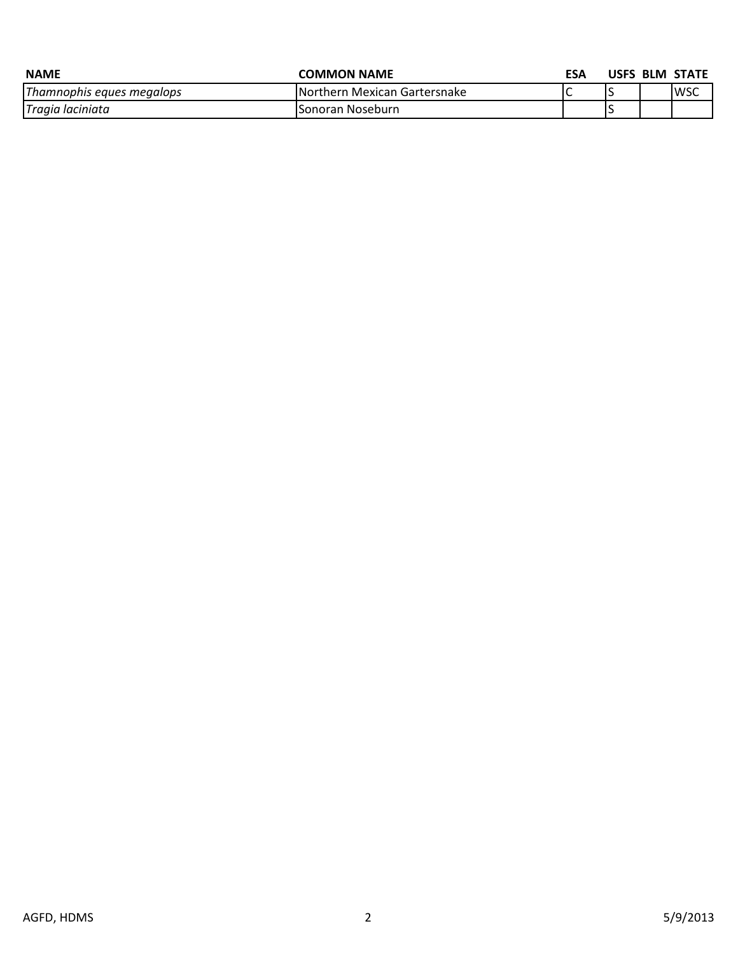| <b>NAME</b>               | <b>COMMON NAME</b>                   | ESA |  | USFS BLM STATE |
|---------------------------|--------------------------------------|-----|--|----------------|
| Thamnophis eques megalops | <b>INorthern Mexican Gartersnake</b> |     |  | <b>WSC</b>     |
| Tragia laciniata          | ISonoran Noseburn                    |     |  |                |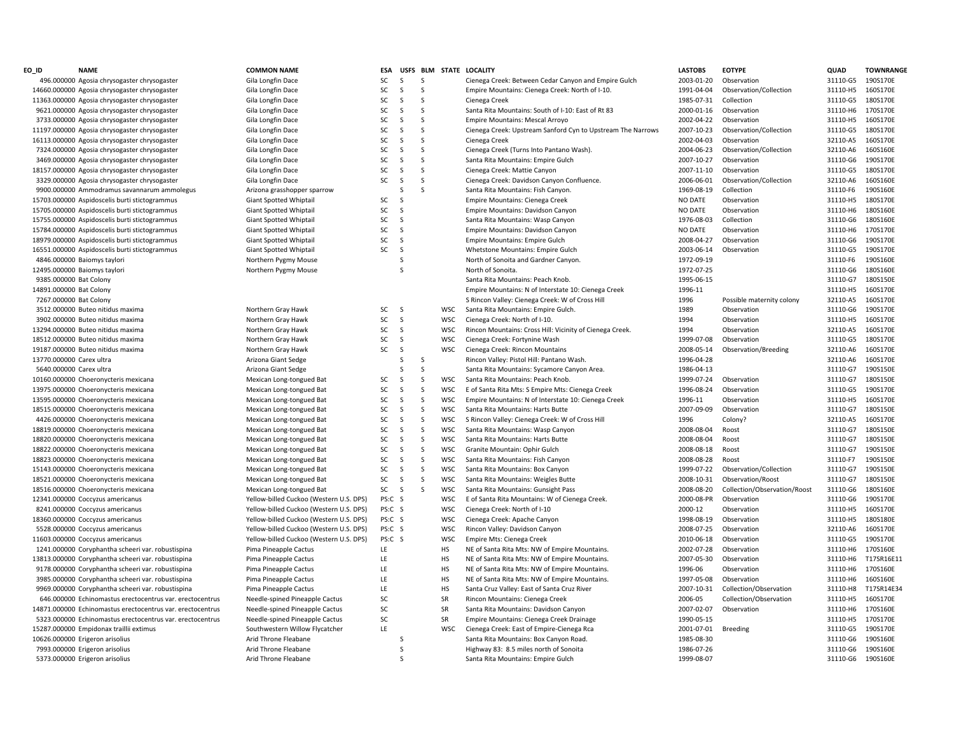| <b>COMMON NAME</b>                           | ESA  | <b>USFS</b> |
|----------------------------------------------|------|-------------|
| Gila Longfin Dace                            | SC   | S           |
| Gila Longfin Dace                            | SC   | S           |
| Gila Longfin Dace                            | SC   | S           |
| Gila Longfin Dace                            | SC   | S           |
| Gila Longfin Dace                            | SC   | S           |
| Gila Longfin Dace                            | SC   | S           |
| Gila Longfin Dace                            | SC   | S           |
| Gila Longfin Dace                            | SC   | S           |
| Gila Longfin Dace                            | SC   | Ś           |
| Gila Longfin Dace                            | SC   | S           |
| Gila Longfin Dace                            | SC   | S           |
| Arizona grasshopper sparrow                  |      | S           |
| <b>Giant Spotted Whiptail</b>                | SC   | S           |
| <b>Giant Spotted Whiptail</b>                | SC   | S           |
| <b>Giant Spotted Whiptail</b>                | SC   | S           |
| <b>Giant Spotted Whiptail</b>                | SC   | S           |
| <b>Giant Spotted Whiptail</b>                | SC   | S           |
| <b>Giant Spotted Whiptail</b>                | SC   | S           |
| Northern Pygmy Mouse                         |      | S           |
| Northern Pygmy Mouse                         |      | S           |
|                                              |      |             |
|                                              |      |             |
|                                              |      |             |
| Northern Gray Hawk                           | SC   | S           |
| Northern Gray Hawk                           | SC   | S           |
| Northern Gray Hawk                           | SC   | S           |
| Northern Gray Hawk                           | SC   | S           |
| Northern Gray Hawk                           | SC   | S           |
| Arizona Giant Sedge                          |      | S           |
| Arizona Giant Sedge                          |      | S           |
| Mexican Long-tongued Bat                     | SC   | S           |
| Mexican Long-tongued Bat                     | SC   | S           |
| Mexican Long-tongued Bat                     | SC   | S           |
| Mexican Long-tongued Bat                     | SC   | S           |
| Mexican Long-tongued Bat                     | SC   | S           |
| Mexican Long-tongued Bat                     | SC   | S           |
| Mexican Long-tongued Bat                     | SC   | S           |
| Mexican Long-tongued Bat                     | SC   | S           |
| Mexican Long-tongued Bat                     | SC   | S           |
| Mexican Long-tongued Bat                     | SC   | S           |
| Mexican Long-tongued Bat                     | SC   | S           |
| Mexican Long-tongued Bat                     | SC   | S           |
| Yellow-billed Cuckoo (Western U.S. DPS)      | PS:C | S           |
| Yellow-billed Cuckoo (Western U.S. DPS)      | PS:C | S           |
| Yellow-billed Cuckoo (Western U.S. DPS)      | PS:C | S           |
| Yellow-billed Cuckoo (Western U.S. DPS)      | PS:C | S           |
| Yellow-billed Cuckoo (Western U.S. DPS)      | PS:C | S           |
| Pima Pineapple Cactus                        | LE   |             |
| Pima Pineapple Cactus                        | LE   |             |
| Pima Pineapple Cactus                        | LE   |             |
| Pima Pineapple Cactus                        | LE   |             |
| Pima Pineapple Cactus                        | LE   |             |
| Needle-spined Pineapple Cactus               | SC   |             |
| Needle-spined Pineapple Cactus               | SC   |             |
| Needle-spined Pineapple Cactus               | SC   |             |
| Southwestern Willow Flycatcher               | LE   |             |
| Arid Throne Fleabane<br>Arid Throne Fleabane |      | S<br>S      |
| Arid Throne Fleabane                         |      | S           |
|                                              |      |             |

| EO ID                    | <b>NAME</b>                                                | <b>COMMON NAME</b>                           | ESA    | USFS BLM          |              |            | STATE LOCALITY                                              | <b>LASTOBS</b>           | <b>EOTYPE</b>                | QUAD     | TOWNRANGE            |
|--------------------------|------------------------------------------------------------|----------------------------------------------|--------|-------------------|--------------|------------|-------------------------------------------------------------|--------------------------|------------------------------|----------|----------------------|
|                          | 496.000000 Agosia chrysogaster chrysogaster                | Gila Longfin Dace                            | SC     | S.                | S.           |            | Cienega Creek: Between Cedar Canyon and Empire Gulch        | 2003-01-20               | Observation                  | 31110-G5 | 190S170E             |
|                          | 14660.000000 Agosia chrysogaster chrysogaster              | Gila Longfin Dace                            | SC     | S                 | $\mathsf{S}$ |            | Empire Mountains: Cienega Creek: North of I-10.             | 1991-04-04               | Observation/Collection       | 31110-H5 | 160S170E             |
|                          | 11363.000000 Agosia chrysogaster chrysogaster              | Gila Longfin Dace                            | SC     | <sub>S</sub>      | S            |            | Cienega Creek                                               | 1985-07-31               | Collection                   | 31110-G5 | 180S170E             |
|                          | 9621.000000 Agosia chrysogaster chrysogaster               | Gila Longfin Dace                            | SC     | S                 | S            |            | Santa Rita Mountains: South of I-10: East of Rt 83          | 2000-01-16               | Observation                  | 31110-H6 | 170S170E             |
|                          | 3733.000000 Agosia chrysogaster chrysogaster               | Gila Longfin Dace                            | SC     | S                 | S            |            | Empire Mountains: Mescal Arroyo                             | 2002-04-22               | Observation                  | 31110-H5 | 160S170E             |
|                          | 11197.000000 Agosia chrysogaster chrysogaster              | Gila Longfin Dace                            | SC     | S                 | S            |            | Cienega Creek: Upstream Sanford Cyn to Upstream The Narrows | 2007-10-23               | Observation/Collection       | 31110-G5 | 180S170E             |
|                          | 16113.000000 Agosia chrysogaster chrysogaster              | Gila Longfin Dace                            | SC     | S                 | S            |            | Cienega Creek                                               | 2002-04-03               | Observation                  | 32110-A5 | 160S170E             |
|                          | 7324.000000 Agosia chrysogaster chrysogaster               | Gila Longfin Dace                            | SC     | S                 | S            |            | Cienega Creek (Turns Into Pantano Wash).                    | 2004-06-23               | Observation/Collection       | 32110-A6 | 160S160E             |
|                          | 3469.000000 Agosia chrysogaster chrysogaster               | Gila Longfin Dace                            | SC     | <sub>S</sub>      | S            |            | Santa Rita Mountains: Empire Gulch                          | 2007-10-27               | Observation                  | 31110-G6 | 190S170E             |
|                          | 18157.000000 Agosia chrysogaster chrysogaster              | Gila Longfin Dace                            | SC     | S                 | S            |            | Cienega Creek: Mattie Canyon                                | 2007-11-10               | Observation                  | 31110-G5 | 180S170E             |
|                          | 3329.000000 Agosia chrysogaster chrysogaster               | Gila Longfin Dace                            | SC     | S                 | S            |            | Cienega Creek: Davidson Canyon Confluence.                  | 2006-06-01               | Observation/Collection       | 32110-A6 | 160S160E             |
|                          | 9900.000000 Ammodramus savannarum ammolegus                | Arizona grasshopper sparrow                  |        | S                 | $\mathsf{s}$ |            | Santa Rita Mountains: Fish Canyon.                          | 1969-08-19               | Collection                   | 31110-F6 | 190S160E             |
|                          | 15703.000000 Aspidoscelis burti stictogrammus              | <b>Giant Spotted Whiptail</b>                | SC     | S                 |              |            | Empire Mountains: Cienega Creek                             | NO DATE                  | Observation                  | 31110-H5 | 180S170E             |
|                          | 15705.000000 Aspidoscelis burti stictogrammus              | <b>Giant Spotted Whiptail</b>                | SC     | S                 |              |            | Empire Mountains: Davidson Canyon                           | NO DATE                  | Observation                  | 31110-H6 | 180S160E             |
|                          | 15755.000000 Aspidoscelis burti stictogrammus              | <b>Giant Spotted Whiptail</b>                | SC     | <sub>S</sub>      |              |            | Santa Rita Mountains: Wasp Canyon                           | 1976-08-03               | Collection                   | 31110-G6 | 180S160E             |
|                          | 15784.000000 Aspidoscelis burti stictogrammus              | <b>Giant Spotted Whiptail</b>                | SC     | S                 |              |            | Empire Mountains: Davidson Canyon                           | NO DATE                  | Observation                  | 31110-H6 | 170S170E             |
|                          | 18979.000000 Aspidoscelis burti stictogrammus              | <b>Giant Spotted Whiptail</b>                | SC     | S                 |              |            | <b>Empire Mountains: Empire Gulch</b>                       | 2008-04-27               | Observation                  | 31110-G6 | 190S170E             |
|                          | 16551.000000 Aspidoscelis burti stictogrammus              | <b>Giant Spotted Whiptail</b>                | SC     | S                 |              |            | Whetstone Mountains: Empire Gulch                           | 2003-06-14               | Observation                  | 31110-G5 | 190S170E             |
|                          | 4846.000000 Baiomys taylori                                | Northern Pygmy Mouse                         |        | S                 |              |            | North of Sonoita and Gardner Canyon.                        | 1972-09-19               |                              | 31110-F6 | 190S160E             |
|                          | 12495.000000 Baiomys taylori                               | Northern Pygmy Mouse                         |        | S                 |              |            | North of Sonoita.                                           | 1972-07-25               |                              | 31110-G6 | 180S160E             |
| 9385.000000 Bat Colony   |                                                            |                                              |        |                   |              |            | Santa Rita Mountains: Peach Knob.                           | 1995-06-15               |                              | 31110-G7 | 180S150E             |
| 14891.000000 Bat Colony  |                                                            |                                              |        |                   |              |            | Empire Mountains: N of Interstate 10: Cienega Creek         | 1996-11                  |                              | 31110-H5 | 160S170E             |
| 7267.000000 Bat Colony   |                                                            |                                              |        |                   |              |            | S Rincon Valley: Cienega Creek: W of Cross Hill             | 1996                     | Possible maternity colony    | 32110-A5 | 160S170E             |
|                          | 3512.000000 Buteo nitidus maxima                           | Northern Gray Hawk                           | SC     | $\mathsf{S}$      |              | <b>WSC</b> | Santa Rita Mountains: Empire Gulch.                         | 1989                     | Observation                  | 31110-G6 | 190S170E             |
|                          | 3902.000000 Buteo nitidus maxima                           | Northern Gray Hawk                           | SC     | S                 |              | <b>WSC</b> | Cienega Creek: North of I-10.                               | 1994                     | Observation                  | 31110-H5 | 160S170E             |
|                          | 13294.000000 Buteo nitidus maxima                          | Northern Gray Hawk                           | SC     | S                 |              | <b>WSC</b> | Rincon Mountains: Cross Hill: Vicinity of Cienega Creek.    | 1994                     | Observation                  | 32110-A5 | 160S170E             |
|                          | 18512.000000 Buteo nitidus maxima                          | Northern Gray Hawk                           | SC     | S                 |              | <b>WSC</b> | Cienega Creek: Fortynine Wash                               | 1999-07-08               | Observation                  | 31110-G5 | 180S170E             |
|                          | 19187.000000 Buteo nitidus maxima                          | Northern Gray Hawk                           | SC     | S                 |              | <b>WSC</b> | Cienega Creek: Rincon Mountains                             | 2008-05-14               | Observation/Breeding         | 32110-A6 | 160S170E             |
| 13770.000000 Carex ultra |                                                            | Arizona Giant Sedge                          |        | S                 | S            |            | Rincon Valley: Pistol Hill: Pantano Wash.                   | 1996-04-28               |                              | 32110-A6 | 160S170E             |
| 5640.000000 Carex ultra  |                                                            | Arizona Giant Sedge                          |        | S                 | $\mathsf S$  |            | Santa Rita Mountains: Sycamore Canyon Area.                 | 1986-04-13               |                              | 31110-G7 | 190S150E             |
|                          | 10160.000000 Choeronycteris mexicana                       | Mexican Long-tongued Bat                     | SC     | -S                | S            | <b>WSC</b> | Santa Rita Mountains: Peach Knob.                           | 1999-07-24               | Observation                  | 31110-G7 | 180S150E             |
|                          | 13975.000000 Choeronycteris mexicana                       | Mexican Long-tongued Bat                     | SC     | S                 | S            | <b>WSC</b> | E of Santa Rita Mts: S Empire Mts: Cienega Creek            | 1996-08-24               | Observation                  | 31110-G5 | 190S170E             |
|                          | 13595.000000 Choeronycteris mexicana                       | Mexican Long-tongued Bat                     | SC     | <sub>S</sub>      | S            | <b>WSC</b> | Empire Mountains: N of Interstate 10: Cienega Creek         | 1996-11                  | Observation                  | 31110-H5 | 160S170E             |
|                          | 18515.000000 Choeronycteris mexicana                       | Mexican Long-tongued Bat                     | SC     | S                 | S            | <b>WSC</b> | Santa Rita Mountains: Harts Butte                           | 2007-09-09               | Observation                  | 31110-G7 | 180S150E             |
|                          | 4426.000000 Choeronycteris mexicana                        | Mexican Long-tongued Bat                     | SC     | S                 | S            | <b>WSC</b> | S Rincon Valley: Cienega Creek: W of Cross Hill             | 1996                     | Colony?                      | 32110-A5 | 160S170E             |
|                          | 18819.000000 Choeronycteris mexicana                       | Mexican Long-tongued Bat                     | SC     | S                 | S            | <b>WSC</b> | Santa Rita Mountains: Wasp Canyon                           | 2008-08-04               | Roost                        | 31110-G7 | 180S150E             |
|                          | 18820.000000 Choeronycteris mexicana                       | Mexican Long-tongued Bat                     | SC     | S                 | S            | <b>WSC</b> | Santa Rita Mountains: Harts Butte                           | 2008-08-04               | Roost                        | 31110-G7 | 180S150E             |
|                          | 18822.000000 Choeronycteris mexicana                       | Mexican Long-tongued Bat                     | SC     | S                 | $\mathsf S$  | <b>WSC</b> | Granite Mountain: Ophir Gulch                               | 2008-08-18               | Roost                        | 31110-G7 | 190S150E             |
|                          | 18823.000000 Choeronycteris mexicana                       | Mexican Long-tongued Bat                     | SC     | S                 | $\mathsf S$  | <b>WSC</b> | Santa Rita Mountains: Fish Canyon                           | 2008-08-28               | Roost                        | 31110-F7 | 190S150E             |
|                          | 15143.000000 Choeronycteris mexicana                       | Mexican Long-tongued Bat                     | SC     | S                 | $\mathsf S$  | <b>WSC</b> | Santa Rita Mountains: Box Canyon                            | 1999-07-22               | Observation/Collection       | 31110-G7 | 190S150E             |
|                          | 18521.000000 Choeronycteris mexicana                       | Mexican Long-tongued Bat                     | SC     | S                 | S            | <b>WSC</b> | Santa Rita Mountains: Weigles Butte                         | 2008-10-31               | Observation/Roost            | 31110-G7 | 180S150E             |
|                          | 18516.000000 Choeronycteris mexicana                       | Mexican Long-tongued Bat                     | SC     | S                 | S            | <b>WSC</b> | Santa Rita Mountains: Gunsight Pass                         | 2008-08-20               | Collection/Observation/Roost | 31110-G6 | 180S160E             |
|                          | 12341.000000 Coccyzus americanus                           | Yellow-billed Cuckoo (Western U.S. DPS)      | PS:C S |                   |              | <b>WSC</b> | E of Santa Rita Mountains: W of Cienega Creek.              | 2000-08-PR               | Observation                  | 31110-G6 | 190S170E             |
|                          | 8241.000000 Coccyzus americanus                            | Yellow-billed Cuckoo (Western U.S. DPS)      | PS:C S |                   |              | <b>WSC</b> | Cienega Creek: North of I-10                                | 2000-12                  | Observation                  | 31110-H5 | 160S170E             |
|                          | 18360.000000 Coccyzus americanus                           | Yellow-billed Cuckoo (Western U.S. DPS)      | PS:C S |                   |              | <b>WSC</b> | Cienega Creek: Apache Canyon                                | 1998-08-19               | Observation                  | 31110-H5 | 180S180E             |
|                          | 5528.000000 Coccyzus americanus                            | Yellow-billed Cuckoo (Western U.S. DPS)      | PS:C S |                   |              | <b>WSC</b> | Rincon Valley: Davidson Canyon                              | 2008-07-25               | Observation                  | 32110-A6 | 160S170E             |
|                          | 11603.000000 Coccyzus americanus                           | Yellow-billed Cuckoo (Western U.S. DPS)      | PS:C S |                   |              | <b>WSC</b> | Empire Mts: Cienega Creek                                   | 2010-06-18               | Observation                  | 31110-G5 | 190S170E             |
|                          | 1241.000000 Coryphantha scheeri var. robustispina          | Pima Pineapple Cactus                        | LE     |                   |              | <b>HS</b>  | NE of Santa Rita Mts: NW of Empire Mountains.               | 2002-07-28               | Observation                  | 31110-H6 | 170S160E             |
|                          | 13813.000000 Coryphantha scheeri var. robustispina         | Pima Pineapple Cactus                        | LE     |                   |              | HS         | NE of Santa Rita Mts: NW of Empire Mountains.               | 2007-05-30               | Observation                  | 31110-H6 | T17SR16E11           |
|                          | 9178.000000 Coryphantha scheeri var. robustispina          | Pima Pineapple Cactus                        | LE     |                   |              | <b>HS</b>  | NE of Santa Rita Mts: NW of Empire Mountains.               | 1996-06                  | Observation                  | 31110-H6 | 170S160E             |
|                          | 3985.000000 Coryphantha scheeri var. robustispina          | Pima Pineapple Cactus                        | LE     |                   |              | <b>HS</b>  | NE of Santa Rita Mts: NW of Empire Mountains.               | 1997-05-08               | Observation                  | 31110-H6 | 160S160E             |
|                          | 9969.000000 Coryphantha scheeri var. robustispina          | Pima Pineapple Cactus                        | LE     |                   |              | <b>HS</b>  | Santa Cruz Valley: East of Santa Cruz River                 | 2007-10-31               | Collection/Observation       | 31110-H8 | T17SR14E34           |
|                          | 646.000000 Echinomastus erectocentrus var. erectocentrus   | Needle-spined Pineapple Cactus               | SC     |                   |              | SR         | Rincon Mountains: Cienega Creek                             | 2006-05                  | Collection/Observation       | 31110-H5 | 160S170E             |
|                          | 14871.000000 Echinomastus erectocentrus var. erectocentrus | Needle-spined Pineapple Cactus               | SC     |                   |              | SR         | Santa Rita Mountains: Davidson Canyon                       | 2007-02-07               | Observation                  | 31110-H6 | 170S160E             |
|                          | 5323.000000 Echinomastus erectocentrus var. erectocentrus  | Needle-spined Pineapple Cactus               | SC     |                   |              | SR         | Empire Mountains: Cienega Creek Drainage                    | 1990-05-15               |                              | 31110-H5 | 170S170E             |
|                          | 15287.000000 Empidonax traillii extimus                    | Southwestern Willow Flycatcher               | LE     |                   |              | <b>WSC</b> | Cienega Creek: East of Empire-Cienega Rca                   | 2001-07-01               | <b>Breeding</b>              | 31110-G5 | 190S170E             |
|                          | 10626.000000 Erigeron arisolius                            | Arid Throne Fleabane                         |        | S                 |              |            | Santa Rita Mountains: Box Canyon Road.                      | 1985-08-30               |                              | 31110-G6 | 190S160E             |
|                          | 7993.000000 Erigeron arisolius                             | Arid Throne Fleabane<br>Arid Throne Fleabane |        | S<br><sub>S</sub> |              |            | Highway 83: 8.5 miles north of Sonoita                      | 1986-07-26<br>1999-08-07 |                              | 31110-G6 | 190S160E<br>190S160E |
|                          | 5373.000000 Erigeron arisolius                             |                                              |        |                   |              |            | Santa Rita Mountains: Empire Gulch                          |                          |                              | 31110-G6 |                      |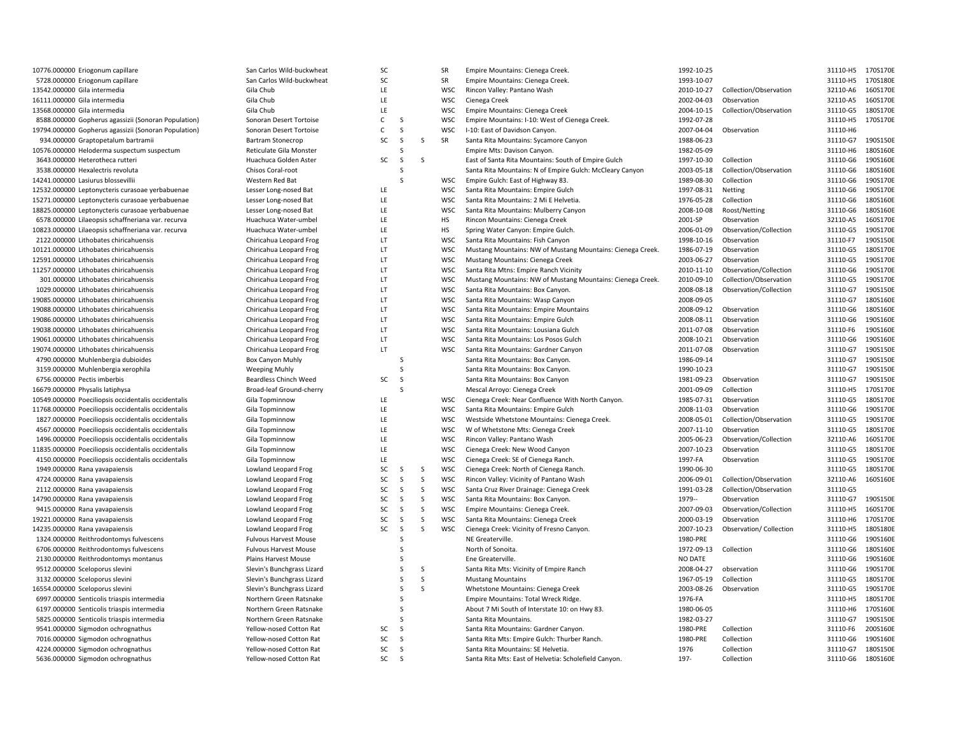| 10776.000000 Eriogonum capillare                     | San Carlos Wild-buckwheat    | SC  |   |   | SR         | Empire        |
|------------------------------------------------------|------------------------------|-----|---|---|------------|---------------|
| 5728.000000 Eriogonum capillare                      | San Carlos Wild-buckwheat    | SC  |   |   | SR         | <b>Empire</b> |
| 13542.000000 Gila intermedia                         | Gila Chub                    | LE  |   |   | <b>WSC</b> | Rincor        |
| 16111.000000 Gila intermedia                         | Gila Chub                    | LE  |   |   | <b>WSC</b> | Cieneg        |
| 13568.000000 Gila intermedia                         | Gila Chub                    | LE  |   |   | <b>WSC</b> | Empire        |
| 8588.000000 Gopherus agassizii (Sonoran Population)  | Sonoran Desert Tortoise      | c   | S |   | <b>WSC</b> | <b>Empire</b> |
| 19794.000000 Gopherus agassizii (Sonoran Population) | Sonoran Desert Tortoise      | C   | S |   | <b>WSC</b> | $I-10: E$     |
| 934.000000 Graptopetalum bartramii                   | Bartram Stonecrop            | SC  | S | S | SR         | Santa I       |
| 10576.000000 Heloderma suspectum suspectum           | Reticulate Gila Monster      |     | S |   |            | <b>Empire</b> |
| 3643.000000 Heterotheca rutteri                      | Huachuca Golden Aster        | SC  | S | S |            | East of       |
| 3538.000000 Hexalectris revoluta                     | Chisos Coral-root            |     | S |   |            | Santa I       |
| 14241.000000 Lasiurus blossevillii                   | Western Red Bat              |     | S |   | <b>WSC</b> | Empire        |
| 12532.000000 Leptonycteris curasoae yerbabuenae      | Lesser Long-nosed Bat        | LE  |   |   | <b>WSC</b> | Santa I       |
| 15271.000000 Leptonycteris curasoae yerbabuenae      | Lesser Long-nosed Bat        | LE  |   |   | <b>WSC</b> | Santa I       |
| 18825.000000 Leptonycteris curasoae yerbabuenae      | Lesser Long-nosed Bat        | LE  |   |   | <b>WSC</b> | Santa I       |
| 6578.000000 Lilaeopsis schaffneriana var. recurva    | Huachuca Water-umbel         | LE  |   |   | HS         | Rincor        |
| 10823.000000 Lilaeopsis schaffneriana var. recurva   | Huachuca Water-umbel         | LE  |   |   | HS         | Spring        |
| 2122.000000 Lithobates chiricahuensis                | Chiricahua Leopard Frog      | LT  |   |   | <b>WSC</b> | Santa I       |
| 10121.000000 Lithobates chiricahuensis               | Chiricahua Leopard Frog      | LT  |   |   | <b>WSC</b> | Musta         |
| 12591.000000 Lithobates chiricahuensis               | Chiricahua Leopard Frog      | LT  |   |   | <b>WSC</b> | Musta         |
| 11257.000000 Lithobates chiricahuensis               | Chiricahua Leopard Frog      | LT. |   |   | <b>WSC</b> | Santa I       |
| 301.000000 Lithobates chiricahuensis                 |                              | LT  |   |   | <b>WSC</b> | Musta         |
|                                                      | Chiricahua Leopard Frog      |     |   |   |            |               |
| 1029.000000 Lithobates chiricahuensis                | Chiricahua Leopard Frog      | LT  |   |   | <b>WSC</b> | Santa I       |
| 19085.000000 Lithobates chiricahuensis               | Chiricahua Leopard Frog      | LT  |   |   | <b>WSC</b> | Santa I       |
| 19088.000000 Lithobates chiricahuensis               | Chiricahua Leopard Frog      | LT  |   |   | <b>WSC</b> | Santa I       |
| 19086.000000 Lithobates chiricahuensis               | Chiricahua Leopard Frog      | LT  |   |   | <b>WSC</b> | Santa I       |
| 19038.000000 Lithobates chiricahuensis               | Chiricahua Leopard Frog      | LT  |   |   | <b>WSC</b> | Santa I       |
| 19061.000000 Lithobates chiricahuensis               | Chiricahua Leopard Frog      | LT  |   |   | <b>WSC</b> | Santa I       |
| 19074.000000 Lithobates chiricahuensis               | Chiricahua Leopard Frog      | LT  |   |   | <b>WSC</b> | Santa I       |
| 4790.000000 Muhlenbergia dubioides                   | Box Canyon Muhly             |     | S |   |            | Santa I       |
| 3159.000000 Muhlenbergia xerophila                   | <b>Weeping Muhly</b>         |     | S |   |            | Santa I       |
| 6756.000000 Pectis imberbis                          | Beardless Chinch Weed        | SC  | S |   |            | Santa I       |
| 16679.000000 Physalis latiphysa                      | Broad-leaf Ground-cherry     |     | S |   |            | Mesca         |
| 10549.000000 Poeciliopsis occidentalis occidentalis  | Gila Topminnow               | LE  |   |   | <b>WSC</b> | Cieneg        |
| 11768.000000 Poeciliopsis occidentalis occidentalis  | Gila Topminnow               | LE  |   |   | <b>WSC</b> | Santa I       |
| 1827.000000 Poeciliopsis occidentalis occidentalis   | Gila Topminnow               | LE  |   |   | <b>WSC</b> | Westsi        |
| 4567.000000 Poeciliopsis occidentalis occidentalis   | Gila Topminnow               | LE  |   |   | <b>WSC</b> | W of V        |
| 1496.000000 Poeciliopsis occidentalis occidentalis   | Gila Topminnow               | LE  |   |   | <b>WSC</b> | Rincon        |
| 11835.000000 Poeciliopsis occidentalis occidentalis  | Gila Topminnow               | LE  |   |   | <b>WSC</b> | Cieneg        |
| 4150.000000 Poeciliopsis occidentalis occidentalis   | Gila Topminnow               | LE  |   |   | <b>WSC</b> | Cieneg        |
| 1949.000000 Rana yavapaiensis                        | Lowland Leopard Frog         | SC  | S | S | <b>WSC</b> | Cieneg        |
| 4724.000000 Rana yavapaiensis                        | Lowland Leopard Frog         | SC  | S | S | <b>WSC</b> | Rincor        |
| 2112.000000 Rana yavapaiensis                        | Lowland Leopard Frog         | SC  | S | S | <b>WSC</b> | Santa         |
| 14790.000000 Rana yavapaiensis                       | Lowland Leopard Frog         | SC  | S | S | <b>WSC</b> | Santa I       |
| 9415.000000 Rana yavapaiensis                        | Lowland Leopard Frog         | SC  | S | S | <b>WSC</b> | <b>Empire</b> |
| 19221.000000 Rana yavapaiensis                       | Lowland Leopard Frog         | SC  | S | S | <b>WSC</b> | Santa I       |
| 14235.000000 Rana yavapaiensis                       | Lowland Leopard Frog         | SC  | S | S | <b>WSC</b> | Cieneg        |
| 1324.000000 Reithrodontomys fulvescens               | <b>Fulvous Harvest Mouse</b> |     | S |   |            | NE Gre        |
| 6706.000000 Reithrodontomys fulvescens               | <b>Fulvous Harvest Mouse</b> |     | S |   |            | North         |
| 2130.000000 Reithrodontomys montanus                 | Plains Harvest Mouse         |     | S |   |            | Ene Gr        |
| 9512.000000 Sceloporus slevini                       | Slevin's Bunchgrass Lizard   |     | S | S |            | Santa I       |
| 3132.000000 Sceloporus slevini                       | Slevin's Bunchgrass Lizard   |     | S | S |            | Musta         |
| 16554.000000 Sceloporus slevini                      | Slevin's Bunchgrass Lizard   |     | S | S |            | Whets         |
| 6997.000000 Senticolis triaspis intermedia           | Northern Green Ratsnake      |     | S |   |            | Empire        |
| 6197.000000 Senticolis triaspis intermedia           | Northern Green Ratsnake      |     | S |   |            | About         |
| 5825.000000 Senticolis triaspis intermedia           | Northern Green Ratsnake      |     | S |   |            | Santa I       |
| 9541.000000 Sigmodon ochrognathus                    | Yellow-nosed Cotton Rat      | SC  | S |   |            | Santa I       |
| 7016.000000 Sigmodon ochrognathus                    | Yellow-nosed Cotton Rat      | SC  | S |   |            | Santa I       |
| 4224.000000 Sigmodon ochrognathus                    | Yellow-nosed Cotton Rat      | SC  | S |   |            | Santa I       |
| 5636.000000 Sigmodon ochrognathus                    | Yellow-nosed Cotton Rat      | SC  | S |   |            | Santa I       |
|                                                      |                              |     |   |   |            |               |

| San Carlos Wild-buckwheat                          |
|----------------------------------------------------|
| San Carlos Wild-buckwheat                          |
| Gila Chub                                          |
| Gila Chub                                          |
| Gila Chub                                          |
| Sonoran Desert Tortoise                            |
| Sonoran Desert Tortoise                            |
| <b>Bartram Stonecrop</b>                           |
| Reticulate Gila Monster                            |
| Huachuca Golden Aster                              |
| Chisos Coral-root                                  |
| Western Red Bat                                    |
| Lesser Long-nosed Bat                              |
| Lesser Long-nosed Bat                              |
| Lesser Long-nosed Bat                              |
| Huachuca Water-umbel                               |
| Huachuca Water-umbel                               |
| Chiricahua Leopard Frog                            |
| Chiricahua Leopard Frog                            |
| Chiricahua Leopard Frog                            |
| Chiricahua Leopard Frog                            |
| Chiricahua Leopard Frog                            |
| Chiricahua Leopard Frog                            |
| Chiricahua Leopard Frog                            |
| Chiricahua Leopard Frog                            |
| Chiricahua Leopard Frog                            |
| Chiricahua Leopard Frog                            |
| Chiricahua Leopard Frog                            |
| Chiricahua Leopard Frog                            |
| <b>Box Canyon Muhly</b>                            |
| <b>Weeping Muhly</b>                               |
| <b>Beardless Chinch Weed</b>                       |
| Broad-leaf Ground-cherry                           |
| Gila Topminnow                                     |
| Gila Topminnow                                     |
| Gila Topminnow                                     |
| Gila Topminnow                                     |
| Gila Topminnow                                     |
| Gila Topminnow                                     |
| Gila Topminnow                                     |
| Lowland Leopard Frog                               |
| <b>Lowland Leopard Frog</b>                        |
| Lowland Leopard Frog                               |
| Lowland Leopard Frog                               |
| Lowland Leopard Frog                               |
| <b>Lowland Leopard Frog</b>                        |
|                                                    |
| Lowland Leopard Frog                               |
|                                                    |
| <b>Fulvous Harvest Mouse</b>                       |
| <b>Fulvous Harvest Mouse</b>                       |
| Plains Harvest Mouse                               |
| Slevin's Bunchgrass Lizard                         |
| Slevin's Bunchgrass Lizard                         |
| Slevin's Bunchgrass Lizard                         |
| Northern Green Ratsnake                            |
| Northern Green Ratsnake                            |
| Northern Green Ratsnake                            |
| Yellow-nosed Cotton Rat                            |
| Yellow-nosed Cotton Rat                            |
| Yellow-nosed Cotton Rat<br>Yellow-nosed Cotton Rat |

| 10776.000000 Eriogonum capillare                     | San Carlos Wild-buckwheat    | sc           |    |              |              | SR         | Empire Mountains: Cienega Creek                            | 1992-10-25 |                         | 31110-H5 | 170S170E |
|------------------------------------------------------|------------------------------|--------------|----|--------------|--------------|------------|------------------------------------------------------------|------------|-------------------------|----------|----------|
| 5728.000000 Eriogonum capillare                      | San Carlos Wild-buckwheat    | SC           |    |              |              | SR         | Empire Mountains: Cienega Creek.                           | 1993-10-07 |                         | 31110-H5 | 170S180E |
| 13542.000000 Gila intermedia                         | Gila Chub                    | LE           |    |              |              | <b>WSC</b> | Rincon Valley: Pantano Wash                                | 2010-10-27 | Collection/Observation  | 32110-A6 | 160S170E |
| 16111.000000 Gila intermedia                         | Gila Chub                    | LE           |    |              |              | <b>WSC</b> | Cienega Creek                                              | 2002-04-03 | Observation             | 32110-A5 | 160S170E |
| 13568.000000 Gila intermedia                         | Gila Chub                    | LE           |    |              |              | <b>WSC</b> | Empire Mountains: Cienega Creek                            | 2004-10-15 | Collection/Observation  | 31110-G5 | 180S170E |
| 8588.000000 Gopherus agassizii (Sonoran Population)  | Sonoran Desert Tortoise      | C            |    | S            |              | <b>WSC</b> | Empire Mountains: I-10: West of Cienega Creek.             | 1992-07-28 |                         | 31110-H5 | 170S170E |
| 19794.000000 Gopherus agassizii (Sonoran Population) | Sonoran Desert Tortoise      | $\mathsf{C}$ |    | <sub>S</sub> |              | <b>WSC</b> | I-10: East of Davidson Canyon.                             | 2007-04-04 | Observation             | 31110-H6 |          |
| 934.000000 Graptopetalum bartramii                   | <b>Bartram Stonecrop</b>     | SC           |    | <sub>S</sub> | S            | SR         | Santa Rita Mountains: Sycamore Canyon                      | 1988-06-23 |                         | 31110-G7 | 190S150E |
| L0576.000000 Heloderma suspectum suspectum           | Reticulate Gila Monster      |              |    | S            |              |            | Empire Mts: Davison Canyon.                                | 1982-05-09 |                         | 31110-H6 | 180S160E |
| 3643.000000 Heterotheca rutteri                      | Huachuca Golden Aster        | SC           |    | S            | S            |            | East of Santa Rita Mountains: South of Empire Gulch        | 1997-10-30 | Collection              | 31110-G6 | 190S160E |
| 3538.000000 Hexalectris revoluta                     | Chisos Coral-root            |              |    | <sub>S</sub> |              |            | Santa Rita Mountains: N of Empire Gulch: McCleary Canyon   | 2003-05-18 | Collection/Observation  | 31110-G6 | 180S160E |
| 14241.000000 Lasiurus blossevillii                   | Western Red Bat              |              |    | $\varsigma$  |              | <b>WSC</b> | Empire Gulch: East of Highway 83.                          | 1989-08-30 | Collection              | 31110-G6 | 190S170E |
| 12532.000000 Leptonycteris curasoae yerbabuenae      | Lesser Long-nosed Bat        | LE           |    |              |              | <b>WSC</b> | Santa Rita Mountains: Empire Gulch                         | 1997-08-31 | Netting                 | 31110-G6 | 190S170E |
| 15271.000000 Leptonycteris curasoae yerbabuenae      | Lesser Long-nosed Bat        | LE           |    |              |              | <b>WSC</b> | Santa Rita Mountains: 2 Mi E Helvetia.                     | 1976-05-28 | Collection              | 31110-G6 | 180S160E |
| 18825.000000 Leptonycteris curasoae yerbabuenae      | Lesser Long-nosed Bat        | LE           |    |              |              | <b>WSC</b> | Santa Rita Mountains: Mulberry Canyon                      | 2008-10-08 | Roost/Netting           | 31110-G6 | 180S160E |
| 6578.000000 Lilaeopsis schaffneriana var. recurva    | Huachuca Water-umbel         | LE           |    |              |              | HS         | Rincon Mountains: Cienega Creek                            | 2001-SP    | Observation             | 32110-A5 | 160S170E |
| 10823.000000 Lilaeopsis schaffneriana var. recurva   | Huachuca Water-umbel         | LE           |    |              |              | <b>HS</b>  | Spring Water Canyon: Empire Gulch.                         | 2006-01-09 | Observation/Collection  | 31110-G5 | 190S170E |
| 2122.000000 Lithobates chiricahuensis                | Chiricahua Leopard Frog      | LT           |    |              |              | <b>WSC</b> | Santa Rita Mountains: Fish Canyon                          | 1998-10-16 | Observation             | 31110-F7 | 190S150E |
| 10121.000000 Lithobates chiricahuensis               | Chiricahua Leopard Frog      | LT           |    |              |              | <b>WSC</b> | Mustang Mountains: NW of Mustang Mountains: Cienega Creek. | 1986-07-19 | Observation             | 31110-G5 | 180S170E |
|                                                      |                              | LT           |    |              |              | <b>WSC</b> |                                                            | 2003-06-27 |                         | 31110-G5 | 190S170E |
| 12591.000000 Lithobates chiricahuensis               | Chiricahua Leopard Frog      | <b>LT</b>    |    |              |              |            | Mustang Mountains: Cienega Creek                           |            | Observation             |          | 190S170E |
| 11257.000000 Lithobates chiricahuensis               | Chiricahua Leopard Frog      |              |    |              |              | <b>WSC</b> | Santa Rita Mtns: Empire Ranch Vicinity                     | 2010-11-10 | Observation/Collection  | 31110-G6 |          |
| 301.000000 Lithobates chiricahuensis                 | Chiricahua Leopard Frog      | LT           |    |              |              | <b>WSC</b> | Mustang Mountains: NW of Mustang Mountains: Cienega Creek. | 2010-09-10 | Collection/Observation  | 31110-G5 | 190S170E |
| 1029.000000 Lithobates chiricahuensis                | Chiricahua Leopard Frog      | LT           |    |              |              | <b>WSC</b> | Santa Rita Mountains: Box Canyon.                          | 2008-08-18 | Observation/Collection  | 31110-G7 | 190S150E |
| 19085.000000 Lithobates chiricahuensis               | Chiricahua Leopard Frog      | LT           |    |              |              | <b>WSC</b> | Santa Rita Mountains: Wasp Canyon                          | 2008-09-05 |                         | 31110-G7 | 180S160E |
| 19088.000000 Lithobates chiricahuensis               | Chiricahua Leopard Frog      | LT           |    |              |              | <b>WSC</b> | Santa Rita Mountains: Empire Mountains                     | 2008-09-12 | Observation             | 31110-G6 | 180S160E |
| 19086.000000 Lithobates chiricahuensis               | Chiricahua Leopard Frog      | LT           |    |              |              | <b>WSC</b> | Santa Rita Mountains: Empire Gulch                         | 2008-08-11 | Observation             | 31110-G6 | 190S160E |
| 19038.000000 Lithobates chiricahuensis               | Chiricahua Leopard Frog      | LT           |    |              |              | <b>WSC</b> | Santa Rita Mountains: Lousiana Gulch                       | 2011-07-08 | Observation             | 31110-F6 | 190S160E |
| 19061.000000 Lithobates chiricahuensis               | Chiricahua Leopard Frog      | LT           |    |              |              | <b>WSC</b> | Santa Rita Mountains: Los Posos Gulch                      | 2008-10-21 | Observation             | 31110-G6 | 190S160E |
| 19074.000000 Lithobates chiricahuensis               | Chiricahua Leopard Frog      | LT           |    |              |              | <b>WSC</b> | Santa Rita Mountains: Gardner Canyon                       | 2011-07-08 | Observation             | 31110-G7 | 190S150E |
| 4790.000000 Muhlenbergia dubioides                   | <b>Box Canyon Muhly</b>      |              | -S |              |              |            | Santa Rita Mountains: Box Canyon.                          | 1986-09-14 |                         | 31110-G7 | 190S150E |
| 3159.000000 Muhlenbergia xerophila                   | <b>Weeping Muhly</b>         |              |    |              |              |            | Santa Rita Mountains: Box Canyon.                          | 1990-10-23 |                         | 31110-G7 | 190S150E |
| 6756.000000 Pectis imberbis                          | Beardless Chinch Weed        | SC           |    | <sub>S</sub> |              |            | Santa Rita Mountains: Box Canyon                           | 1981-09-23 | Observation             | 31110-G7 | 190S150E |
| 16679.000000 Physalis latiphysa                      | Broad-leaf Ground-cherry     |              |    |              |              |            | Mescal Arroyo: Cienega Creek                               | 2001-09-09 | Collection              | 31110-H5 | 170S170E |
| 10549.000000 Poeciliopsis occidentalis occidentalis  | Gila Topminnow               | LE           |    |              |              | <b>WSC</b> | Cienega Creek: Near Confluence With North Canyon.          | 1985-07-31 | Observation             | 31110-G5 | 180S170E |
| 11768.000000 Poeciliopsis occidentalis occidentalis  | Gila Topminnow               | LE           |    |              |              | <b>WSC</b> | Santa Rita Mountains: Empire Gulch                         | 2008-11-03 | Observation             | 31110-G6 | 190S170E |
| 1827.000000 Poeciliopsis occidentalis occidentalis   | Gila Topminnow               | LE           |    |              |              | <b>WSC</b> | Westside Whetstone Mountains: Cienega Creek.               | 2008-05-01 | Collection/Observation  | 31110-G5 | 190S170E |
| 4567.000000 Poeciliopsis occidentalis occidentalis   | Gila Topminnow               | LE           |    |              |              | <b>WSC</b> | W of Whetstone Mts: Cienega Creek                          | 2007-11-10 | Observation             | 31110-G5 | 180S170E |
| 1496.000000 Poeciliopsis occidentalis occidentalis   | Gila Topminnow               | LE           |    |              |              | <b>WSC</b> | Rincon Valley: Pantano Wash                                | 2005-06-23 | Observation/Collection  | 32110-A6 | 160S170E |
| 11835.000000 Poeciliopsis occidentalis occidentalis  | Gila Topminnow               | LE           |    |              |              | <b>WSC</b> | Cienega Creek: New Wood Canyon                             | 2007-10-23 | Observation             | 31110-G5 | 180S170E |
| 4150.000000 Poeciliopsis occidentalis occidentalis   | Gila Topminnow               | LE           |    |              |              | <b>WSC</b> | Cienega Creek: SE of Cienega Ranch.                        | 1997-FA    | Observation             | 31110-G5 | 190S170E |
| 1949.000000 Rana yavapaiensis                        | Lowland Leopard Frog         | SC           |    | S            | S            | <b>WSC</b> | Cienega Creek: North of Cienega Ranch.                     | 1990-06-30 |                         | 31110-G5 | 180S170E |
| 4724.000000 Rana yavapaiensis                        | Lowland Leopard Frog         | SC           |    | <sub>S</sub> | S            | <b>WSC</b> | Rincon Valley: Vicinity of Pantano Wash                    | 2006-09-01 | Collection/Observation  | 32110-A6 | 160S160E |
| 2112.000000 Rana yavapaiensis                        | Lowland Leopard Frog         | SC           |    | <sub>S</sub> | S            | <b>WSC</b> | Santa Cruz River Drainage: Cienega Creek                   | 1991-03-28 | Collection/Observation  | 31110-G5 |          |
| 14790.000000 Rana yavapaiensis                       | Lowland Leopard Frog         | SC           |    | S            | <sub>S</sub> | <b>WSC</b> | Santa Rita Mountains: Box Canyon.                          | 1979 --    | Observation             | 31110-G7 | 190S150E |
| 9415.000000 Rana yavapaiensis                        | Lowland Leopard Frog         | SC           |    | <sub>S</sub> | <sub>S</sub> | <b>WSC</b> | Empire Mountains: Cienega Creek.                           | 2007-09-03 | Observation/Collection  | 31110-H5 | 160S170E |
| 19221.000000 Rana yavapaiensis                       | Lowland Leopard Frog         | SC           |    | <sub>S</sub> | S            | <b>WSC</b> | Santa Rita Mountains: Cienega Creek                        | 2000-03-19 | Observation             | 31110-H6 | 170S170E |
| 14235.000000 Rana yavapaiensis                       | Lowland Leopard Frog         | SC           |    | <sub>S</sub> | <sub>S</sub> | <b>WSC</b> | Cienega Creek: Vicinity of Fresno Canyon.                  | 2007-10-23 | Observation/ Collection | 31110-H5 | 180S180E |
| 1324.000000 Reithrodontomys fulvescens               | <b>Fulvous Harvest Mouse</b> |              |    | $\varsigma$  |              |            | NE Greaterville.                                           | 1980-PRE   |                         | 31110-G6 | 190S160E |
| 6706.000000 Reithrodontomys fulvescens               | <b>Fulvous Harvest Mouse</b> |              |    | $\varsigma$  |              |            | North of Sonoita.                                          | 1972-09-13 | Collection              | 31110-G6 | 180S160E |
| 2130.000000 Reithrodontomys montanus                 | Plains Harvest Mouse         |              |    | $\varsigma$  |              |            | Ene Greaterville.                                          | NO DATE    |                         | 31110-G6 | 190S160E |
| 9512.000000 Sceloporus slevini                       | Slevin's Bunchgrass Lizard   |              |    | <sub>S</sub> | S            |            | Santa Rita Mts: Vicinity of Empire Ranch                   | 2008-04-27 | observation             | 31110-G6 | 190S170E |
| 3132.000000 Sceloporus slevini                       | Slevin's Bunchgrass Lizard   |              |    | S            | S            |            | <b>Mustang Mountains</b>                                   | 1967-05-19 | Collection              | 31110-G5 | 180S170E |
| 16554.000000 Sceloporus slevini                      | Slevin's Bunchgrass Lizard   |              |    | S            | S            |            | Whetstone Mountains: Cienega Creek                         | 2003-08-26 | Observation             | 31110-G5 | 190S170E |
| 6997.000000 Senticolis triaspis intermedia           | Northern Green Ratsnake      |              |    | -S           |              |            | Empire Mountains: Total Wreck Ridge.                       | 1976-FA    |                         | 31110-H5 | 180S170E |
| 6197.000000 Senticolis triaspis intermedia           | Northern Green Ratsnake      |              |    | <sub>S</sub> |              |            | About 7 Mi South of Interstate 10: on Hwy 83.              | 1980-06-05 |                         | 31110-H6 | 170S160E |
| 5825.000000 Senticolis triaspis intermedia           | Northern Green Ratsnake      |              |    | <sub>S</sub> |              |            | Santa Rita Mountains.                                      | 1982-03-27 |                         | 31110-G7 | 190S150E |
| 9541.000000 Sigmodon ochrognathus                    | Yellow-nosed Cotton Rat      | SC           |    | <sub>S</sub> |              |            | Santa Rita Mountains: Gardner Canyon.                      | 1980-PRE   | Collection              | 31110-F6 | 200S160E |
|                                                      | Yellow-nosed Cotton Rat      | SC           |    | <sub>S</sub> |              |            |                                                            |            | Collection              |          | 190S160E |
| 7016.000000 Sigmodon ochrognathus                    |                              | SC           |    |              |              |            | Santa Rita Mts: Empire Gulch: Thurber Ranch.               | 1980-PRE   |                         | 31110-G6 | 180S150E |
| 4224.000000 Sigmodon ochrognathus                    | Yellow-nosed Cotton Rat      |              |    | <sub>S</sub> |              |            | Santa Rita Mountains: SE Helvetia.                         | 1976       | Collection              | 31110-G7 |          |
| 5636.000000 Sigmodon ochrognathus                    | Yellow-nosed Cotton Rat      | <b>SC</b>    | -S |              |              |            | Santa Rita Mts: East of Helvetia: Scholefield Canvon.      | 197-       | Collection              | 31110-G6 | 180S160E |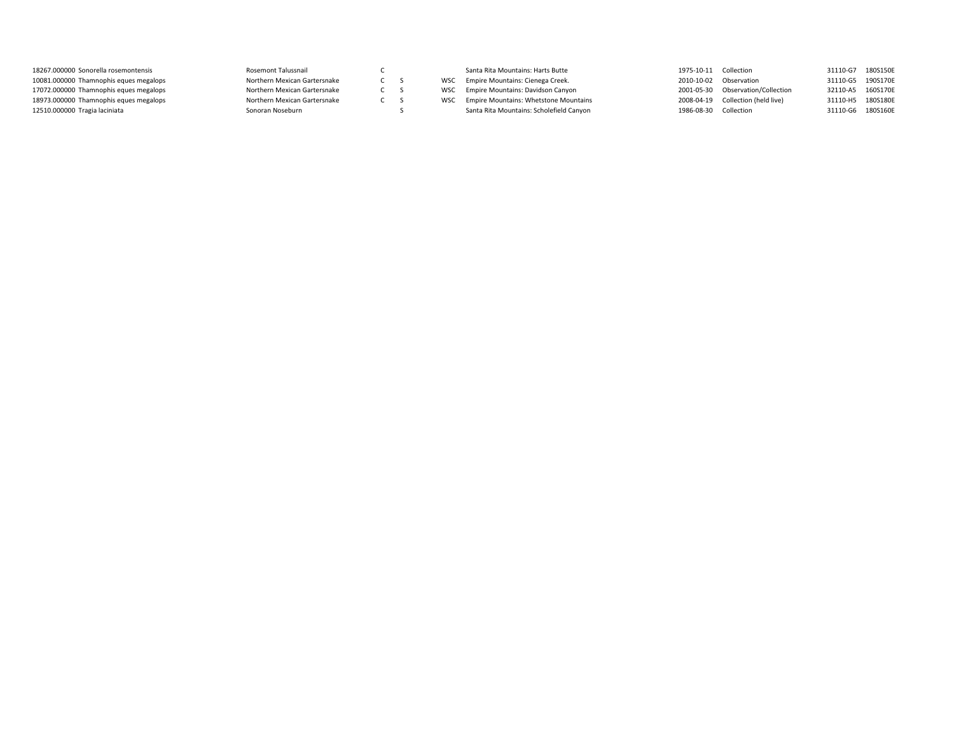| 18267.000000 Sonorella rosemontensis   | Rosemont Talussnail          |  |     | Santa Rita Mountains: Harts Butte         | 1975-10-11 Collection |                                   | 31110-G7          | 180S150E |
|----------------------------------------|------------------------------|--|-----|-------------------------------------------|-----------------------|-----------------------------------|-------------------|----------|
| 10081.000000 Thamnophis eques megalops | Northern Mexican Gartersnake |  | wsc | C Empire Mountains: Cienega Creek.        |                       | 2010-10-02 Observation            | 31110-G5 190S170E |          |
| 17072.000000 Thamnophis eques megalops | Northern Mexican Gartersnake |  |     | WSC Empire Mountains: Davidson Canyon     |                       | 2001-05-30 Observation/Collection | 32110-A5 160S170E |          |
| 18973.000000 Thamnophis eques megalops | Northern Mexican Gartersnake |  |     | WSC Empire Mountains: Whetstone Mountains |                       | 2008-04-19 Collection (held live) | 31110-H5 180S180E |          |
| 12510.000000 Tragia laciniata          | Sonoran Noseburn             |  |     | Santa Rita Mountains: Scholefield Canyon  | 1986-08-30 Collection |                                   | 31110-G6 180S160E |          |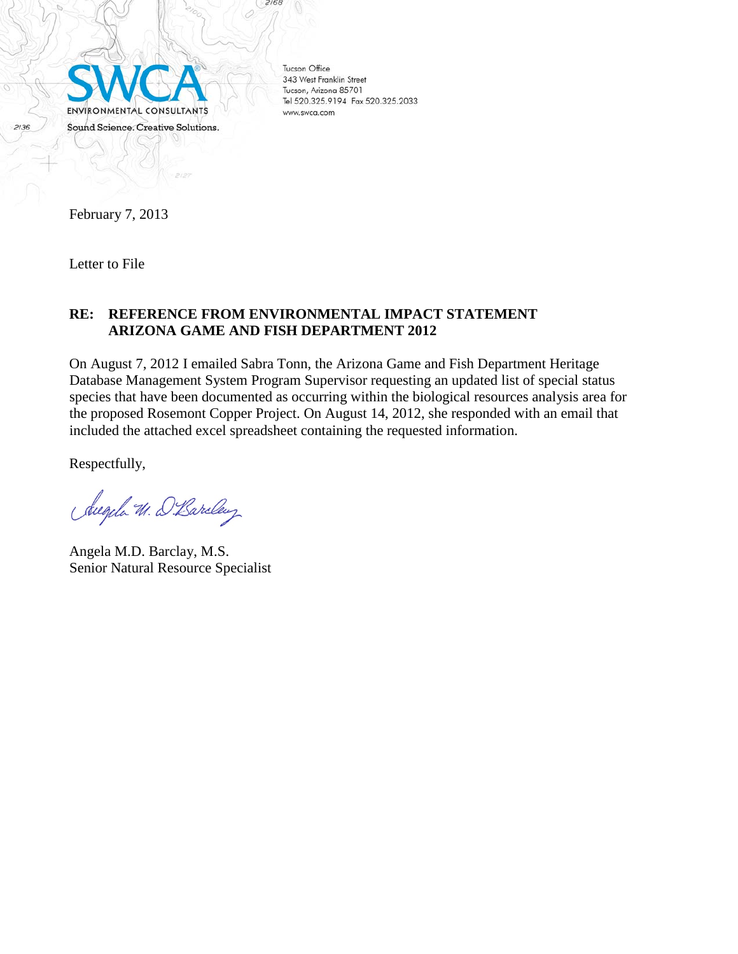

Tucson Office 343 West Franklin Street Tucson, Arizona 85701 Tel 520.325.9194 Fax 520.325.2033 www.swca.com

2168

February 7, 2013

Letter to File

## **RE: REFERENCE FROM ENVIRONMENTAL IMPACT STATEMENT ARIZONA GAME AND FISH DEPARTMENT 2012**

On August 7, 2012 I emailed Sabra Tonn, the Arizona Game and Fish Department Heritage Database Management System Program Supervisor requesting an updated list of special status species that have been documented as occurring within the biological resources analysis area for the proposed Rosemont Copper Project. On August 14, 2012, she responded with an email that included the attached excel spreadsheet containing the requested information.

Respectfully,

Augela W. D. Baroley

Angela M.D. Barclay, M.S. Senior Natural Resource Specialist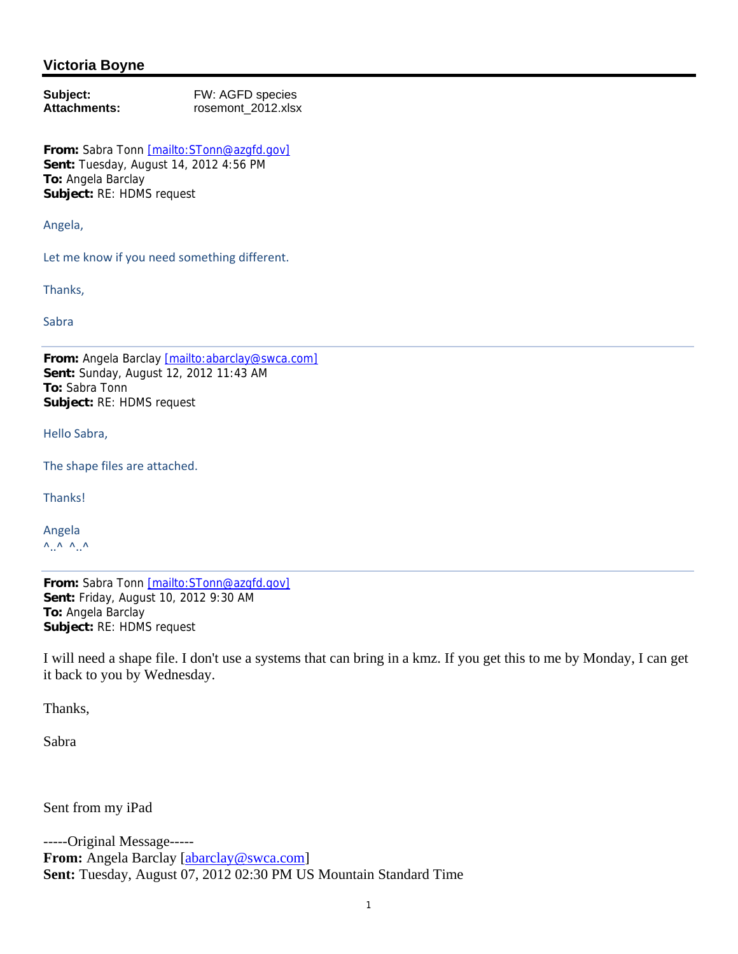## **Victoria Boyne**

**Subject:** FW: AGFD species<br> **Attachments:** Tosemont 2012.xls rosemont 2012.xlsx

From: Sabra Tonn [mailto:STonn@azgfd.gov] **Sent:** Tuesday, August 14, 2012 4:56 PM **To:** Angela Barclay **Subject:** RE: HDMS request

Angela,

Let me know if you need something different.

Thanks,

Sabra

**From:** Angela Barclay [mailto:abarclay@swca.com] **Sent:** Sunday, August 12, 2012 11:43 AM **To:** Sabra Tonn **Subject:** RE: HDMS request

Hello Sabra,

The shape files are attached.

Thanks!

Angela  $\wedge$ ..^  $\wedge$ ..^

From: Sabra Tonn [mailto: STonn@azgfd.gov] **Sent:** Friday, August 10, 2012 9:30 AM **To:** Angela Barclay **Subject:** RE: HDMS request

I will need a shape file. I don't use a systems that can bring in a kmz. If you get this to me by Monday, I can get it back to you by Wednesday.

Thanks,

Sabra

Sent from my iPad

-----Original Message----- From: Angela Barclay [abarclay @swca.com] **Sent:** Tuesday, August 07, 2012 02:30 PM US Mountain Standard Time